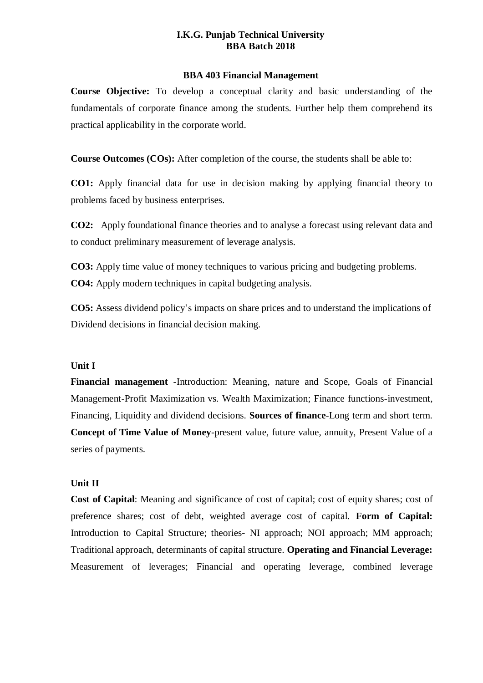## **I.K.G. Punjab Technical University BBA Batch 2018**

### **BBA 403 Financial Management**

**Course Objective:** To develop a conceptual clarity and basic understanding of the fundamentals of corporate finance among the students. Further help them comprehend its practical applicability in the corporate world.

**Course Outcomes (COs):** After completion of the course, the students shall be able to:

**CO1:** Apply financial data for use in decision making by applying financial theory to problems faced by business enterprises.

**CO2:** Apply foundational finance theories and to analyse a forecast using relevant data and to conduct preliminary measurement of leverage analysis.

**CO3:** Apply time value of money techniques to various pricing and budgeting problems. **CO4:** Apply modern techniques in capital budgeting analysis.

**CO5:** Assess dividend policy's impacts on share prices and to understand the implications of Dividend decisions in financial decision making.

#### **Unit I**

**Financial management** -Introduction: Meaning, nature and Scope, Goals of Financial Management-Profit Maximization vs. Wealth Maximization; Finance functions-investment, Financing, Liquidity and dividend decisions. **Sources of finance**-Long term and short term. **Concept of Time Value of Money**-present value, future value, annuity, Present Value of a series of payments.

## **Unit II**

**Cost of Capital**: Meaning and significance of cost of capital; cost of equity shares; cost of preference shares; cost of debt, weighted average cost of capital. **Form of Capital:**  Introduction to Capital Structure; theories- NI approach; NOI approach; MM approach; Traditional approach, determinants of capital structure. **Operating and Financial Leverage:**  Measurement of leverages; Financial and operating leverage, combined leverage